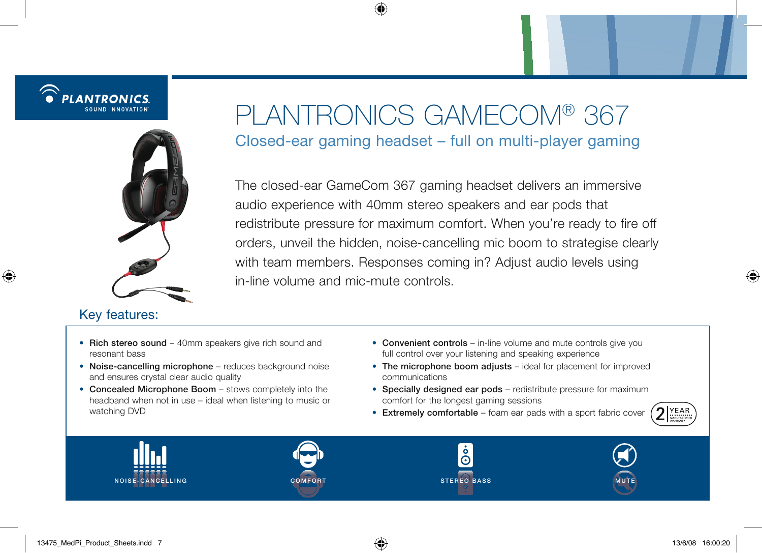

### Key features:

# Plantronics Gamecom® 367 Closed-ear gaming headset – full on multi-player gaming

The closed-ear GameCom 367 gaming headset delivers an immersive audio experience with 40mm stereo speakers and ear pods that redistribute pressure for maximum comfort. When you're ready to fire off orders, unveil the hidden, noise-cancelling mic boom to strategise clearly with team members. Responses coming in? Adjust audio levels using in-line volume and mic-mute controls.

- Rich stereo sound 40mm speakers give rich sound and resonant bass
- Noise-cancelling microphone reduces background noise and ensures crystal clear audio quality
- Concealed Microphone Boom stows completely into the headband when not in use – ideal when listening to music or watching DVD
- Convenient controls in-line volume and mute controls give you full control over your listening and speaking experience
- The microphone boom adjusts ideal for placement for improved communications
- Specially designed ear pods redistribute pressure for maximum comfort for the longest gaming sessions
- Extremely comfortable foam ear pads with a sport fabric cover